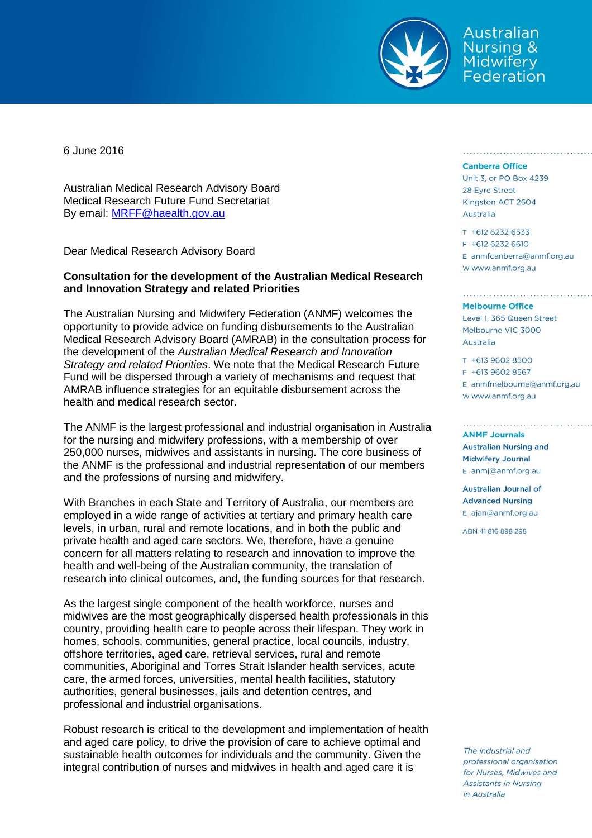

Australian Nursing & **Midwifery** Federation

6 June 2016

Australian Medical Research Advisory Board Medical Research Future Fund Secretariat By email: [MRFF@haealth.gov.au](mailto:MRFF@haealth.gov.au)

Dear Medical Research Advisory Board

## **Consultation for the development of the Australian Medical Research and Innovation Strategy and related Priorities**

The Australian Nursing and Midwifery Federation (ANMF) welcomes the opportunity to provide advice on funding disbursements to the Australian Medical Research Advisory Board (AMRAB) in the consultation process for the development of the *Australian Medical Research and Innovation Strategy and related Priorities*. We note that the Medical Research Future Fund will be dispersed through a variety of mechanisms and request that AMRAB influence strategies for an equitable disbursement across the health and medical research sector.

The ANMF is the largest professional and industrial organisation in Australia for the nursing and midwifery professions, with a membership of over 250,000 nurses, midwives and assistants in nursing. The core business of the ANMF is the professional and industrial representation of our members and the professions of nursing and midwifery.

With Branches in each State and Territory of Australia, our members are employed in a wide range of activities at tertiary and primary health care levels, in urban, rural and remote locations, and in both the public and private health and aged care sectors. We, therefore, have a genuine concern for all matters relating to research and innovation to improve the health and well-being of the Australian community, the translation of research into clinical outcomes, and, the funding sources for that research.

As the largest single component of the health workforce, nurses and midwives are the most geographically dispersed health professionals in this country, providing health care to people across their lifespan. They work in homes, schools, communities, general practice, local councils, industry, offshore territories, aged care, retrieval services, rural and remote communities, Aboriginal and Torres Strait Islander health services, acute care, the armed forces, universities, mental health facilities, statutory authorities, general businesses, jails and detention centres, and professional and industrial organisations.

Robust research is critical to the development and implementation of health and aged care policy, to drive the provision of care to achieve optimal and sustainable health outcomes for individuals and the community. Given the integral contribution of nurses and midwives in health and aged care it is

## **Canberra Office**

Unit 3, or PO Box 4239 28 Eyre Street Kingston ACT 2604 Australia

siste e e eleversidad el siste e eleversidad el sistema

T +612 6232 6533

F +612 6232 6610

E anmfcanberra@anmf.org.au w www.anmf.org.au

## **Melbourne Office**

Level 1, 365 Queen Street Melbourne VIC 3000 Australia

T +613 9602 8500 E +613 9602 8567  $E$  anmfmelbourne@anmf.org.au W www.anmf.org.au

**ANME Journals Australian Nursing and Midwifery Journal** E anmj@anmf.org.au

**Australian Journal of Advanced Nursing** E ajan@anmf.org.au

ABN 41816898298

The industrial and professional organisation for Nurses, Midwives and Assistants in Nursing in Australia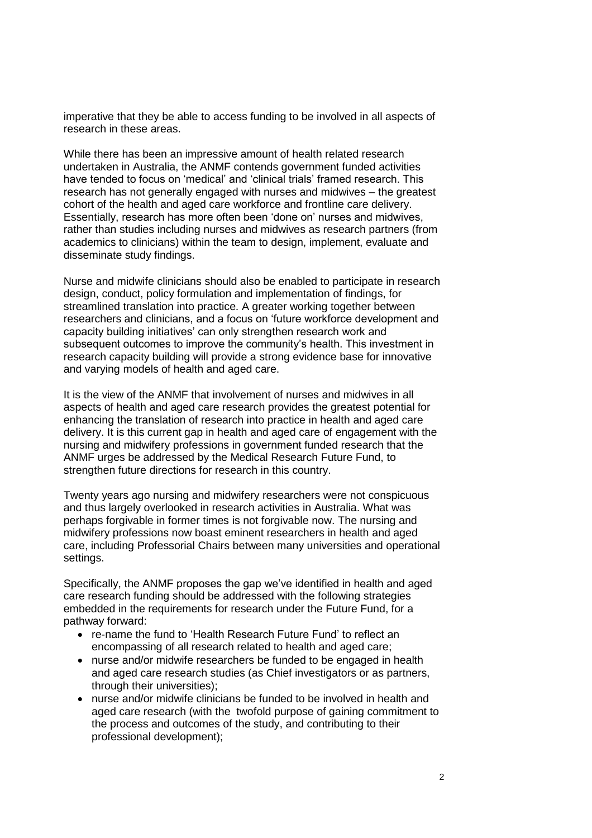imperative that they be able to access funding to be involved in all aspects of research in these areas.

While there has been an impressive amount of health related research undertaken in Australia, the ANMF contends government funded activities have tended to focus on 'medical' and 'clinical trials' framed research. This research has not generally engaged with nurses and midwives – the greatest cohort of the health and aged care workforce and frontline care delivery. Essentially, research has more often been 'done on' nurses and midwives, rather than studies including nurses and midwives as research partners (from academics to clinicians) within the team to design, implement, evaluate and disseminate study findings.

Nurse and midwife clinicians should also be enabled to participate in research design, conduct, policy formulation and implementation of findings, for streamlined translation into practice. A greater working together between researchers and clinicians, and a focus on 'future workforce development and capacity building initiatives' can only strengthen research work and subsequent outcomes to improve the community's health. This investment in research capacity building will provide a strong evidence base for innovative and varying models of health and aged care.

It is the view of the ANMF that involvement of nurses and midwives in all aspects of health and aged care research provides the greatest potential for enhancing the translation of research into practice in health and aged care delivery. It is this current gap in health and aged care of engagement with the nursing and midwifery professions in government funded research that the ANMF urges be addressed by the Medical Research Future Fund, to strengthen future directions for research in this country.

Twenty years ago nursing and midwifery researchers were not conspicuous and thus largely overlooked in research activities in Australia. What was perhaps forgivable in former times is not forgivable now. The nursing and midwifery professions now boast eminent researchers in health and aged care, including Professorial Chairs between many universities and operational settings.

Specifically, the ANMF proposes the gap we've identified in health and aged care research funding should be addressed with the following strategies embedded in the requirements for research under the Future Fund, for a pathway forward:

- re-name the fund to 'Health Research Future Fund' to reflect an encompassing of all research related to health and aged care;
- nurse and/or midwife researchers be funded to be engaged in health and aged care research studies (as Chief investigators or as partners, through their universities);
- nurse and/or midwife clinicians be funded to be involved in health and aged care research (with the twofold purpose of gaining commitment to the process and outcomes of the study, and contributing to their professional development);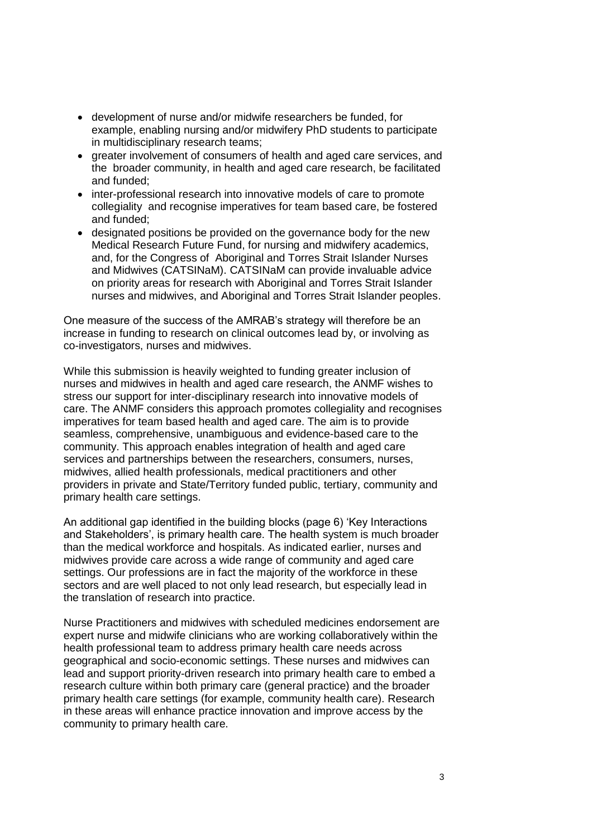- development of nurse and/or midwife researchers be funded, for example, enabling nursing and/or midwifery PhD students to participate in multidisciplinary research teams;
- greater involvement of consumers of health and aged care services, and the broader community, in health and aged care research, be facilitated and funded;
- inter-professional research into innovative models of care to promote collegiality and recognise imperatives for team based care, be fostered and funded;
- designated positions be provided on the governance body for the new Medical Research Future Fund, for nursing and midwifery academics, and, for the Congress of Aboriginal and Torres Strait Islander Nurses and Midwives (CATSINaM). CATSINaM can provide invaluable advice on priority areas for research with Aboriginal and Torres Strait Islander nurses and midwives, and Aboriginal and Torres Strait Islander peoples.

One measure of the success of the AMRAB's strategy will therefore be an increase in funding to research on clinical outcomes lead by, or involving as co-investigators, nurses and midwives.

While this submission is heavily weighted to funding greater inclusion of nurses and midwives in health and aged care research, the ANMF wishes to stress our support for inter-disciplinary research into innovative models of care. The ANMF considers this approach promotes collegiality and recognises imperatives for team based health and aged care. The aim is to provide seamless, comprehensive, unambiguous and evidence-based care to the community. This approach enables integration of health and aged care services and partnerships between the researchers, consumers, nurses, midwives, allied health professionals, medical practitioners and other providers in private and State/Territory funded public, tertiary, community and primary health care settings.

An additional gap identified in the building blocks (page 6) 'Key Interactions and Stakeholders', is primary health care. The health system is much broader than the medical workforce and hospitals. As indicated earlier, nurses and midwives provide care across a wide range of community and aged care settings. Our professions are in fact the majority of the workforce in these sectors and are well placed to not only lead research, but especially lead in the translation of research into practice.

Nurse Practitioners and midwives with scheduled medicines endorsement are expert nurse and midwife clinicians who are working collaboratively within the health professional team to address primary health care needs across geographical and socio-economic settings. These nurses and midwives can lead and support priority-driven research into primary health care to embed a research culture within both primary care (general practice) and the broader primary health care settings (for example, community health care). Research in these areas will enhance practice innovation and improve access by the community to primary health care.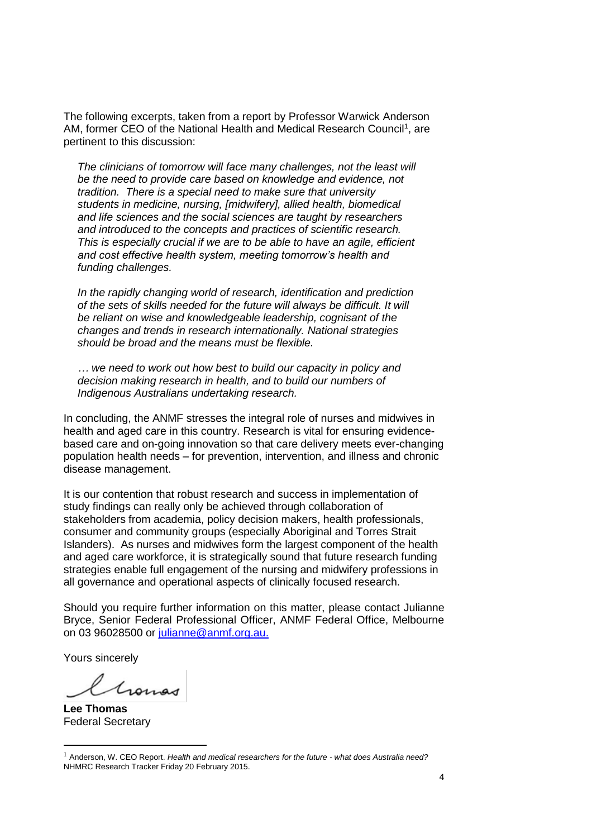The following excerpts, taken from a report by Professor Warwick Anderson AM, former CEO of the National Health and Medical Research Council<sup>1</sup>, are pertinent to this discussion:

*The clinicians of tomorrow will face many challenges, not the least will be the need to provide care based on knowledge and evidence, not tradition. There is a special need to make sure that university students in medicine, nursing, [midwifery], allied health, biomedical and life sciences and the social sciences are taught by researchers and introduced to the concepts and practices of scientific research. This is especially crucial if we are to be able to have an agile, efficient and cost effective health system, meeting tomorrow's health and funding challenges.*

*In the rapidly changing world of research, identification and prediction of the sets of skills needed for the future will always be difficult. It will be reliant on wise and knowledgeable leadership, cognisant of the changes and trends in research internationally. National strategies should be broad and the means must be flexible.*

*… we need to work out how best to build our capacity in policy and decision making research in health, and to build our numbers of Indigenous Australians undertaking research.* 

In concluding, the ANMF stresses the integral role of nurses and midwives in health and aged care in this country. Research is vital for ensuring evidencebased care and on-going innovation so that care delivery meets ever-changing population health needs – for prevention, intervention, and illness and chronic disease management.

It is our contention that robust research and success in implementation of study findings can really only be achieved through collaboration of stakeholders from academia, policy decision makers, health professionals, consumer and community groups (especially Aboriginal and Torres Strait Islanders). As nurses and midwives form the largest component of the health and aged care workforce, it is strategically sound that future research funding strategies enable full engagement of the nursing and midwifery professions in all governance and operational aspects of clinically focused research.

Should you require further information on this matter, please contact Julianne Bryce, Senior Federal Professional Officer, ANMF Federal Office, Melbourne on 03 96028500 or [julianne@anmf.org.au.](mailto:julianne@anmf.org.au)

Yours sincerely

Ganas

**Lee Thomas** Federal Secretary

 $\overline{a}$ 

<sup>1</sup> Anderson, W. CEO Report. *Health and medical researchers for the future - what does Australia need?* NHMRC Research Tracker Friday 20 February 2015.